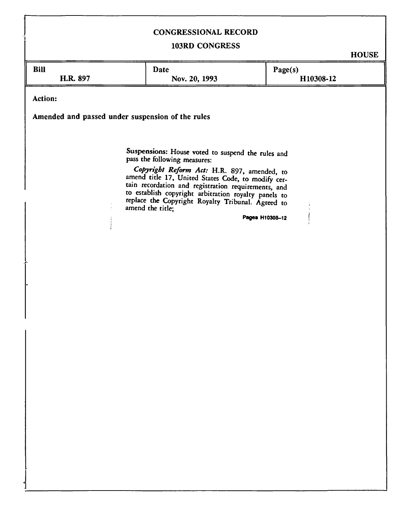# CONGRESSIONAL RECORD

# 103RD CONGRESS

**HOUSE** 

|                                                                                                                                                                                                                                                                                                                                                                                                   |               | vv.       |  |  |
|---------------------------------------------------------------------------------------------------------------------------------------------------------------------------------------------------------------------------------------------------------------------------------------------------------------------------------------------------------------------------------------------------|---------------|-----------|--|--|
| <b>Bill</b>                                                                                                                                                                                                                                                                                                                                                                                       | <b>Date</b>   | Page(s)   |  |  |
| H.R. 897                                                                                                                                                                                                                                                                                                                                                                                          | Nov. 20, 1993 | H10308-12 |  |  |
|                                                                                                                                                                                                                                                                                                                                                                                                   |               |           |  |  |
| Action:<br>Amended and passed under suspension of the rules                                                                                                                                                                                                                                                                                                                                       |               |           |  |  |
| Suspensions: House voted to suspend the rules and<br>pass the following measures:<br>Copyright Reform Act: H.R. 897, amended, to<br>amend title 17, United States Code, to modify cer-<br>tain recordation and registration requirements, and<br>to establish copyright arbitration royalty panels to<br>replace the Copyright Royalty Tribunal. Agreed to<br>amend the title;<br>Pages H10308-12 |               |           |  |  |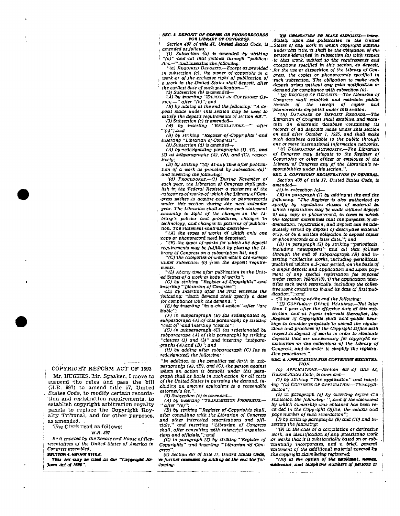*SBC. i. Dsposrr or oofms OR PUOSORECORDS* 

*FOR UBRARY OF CONGRESS.*<br>Section 487 of title Jl. UnMod States Code. is...

*• amended osjollows:*  **:** *(1.) Subsection (a)* **is** *-amended by striking*  **I** *"(a)" 'and -all that follows through '"publica-tion—"':and inserting Ike following: "(a) REQUIRED DEPOSITS.—Except asiprovided* 

**;**  *tn subsection (c). the owner of-copyright in a*  **t**  *work .or of .the .exclusive right* **.a/** *publication of*  **;** *a.work* **in** *the •United .States shall,deposit, after* 

*the earliest date of such publication***—".** 

*(2) Subsection (b) is amended*—<br> *'(A) .by .inserting "DEPOSIT IN COPYRIGHT OF-*<br> *FICE.*—" after "(b)"; and<br> *FEC* 

*(B) by adding at the end the followtng: "A deposit made under this section may be used to satisfy the deposit reguirements of section 403.".* 

*(3) Subsection (c) is amended— (A) by inserting "REGULATIONS.—"* **.** *after* 

*'"(c.)";.and (B) by striking "Register of'Copyrights" and inserting "Librarian o) Congress'***"\_** 

*(.4).Subsection (d) is amended— (A) by -redesignating -paragraphs (T), X2), and (3) as subparagraphs (A), (8), and(C), respec-*

*tively; (S) by striking ''(d) At any time ofter publication of a work -as provided by subsection -4a)" •and inserting the fallowing:* 

*"(d) PROCEDURES.—(1) "During Vovember of each year, the Librarian of Congress shall .publish in the federal Register a statement -of the •ca tegories of works of which the tLOnary .oJ!Con- >gress .wishes -to acquire copies or jthonvrecords under this section during ithe next calendar*  year. The Librarian shall review such statement *.annually in .light of the changes in the .Library's policies and /procedures, changes in technology, and changes in patterns of publica-*

*tion. The 'statemen t -shall -also describe***—**  *"(A) the types of works of whidh .only one*  **;** *copy tar phonorecord need be deposited;* 

*. "(B) the types of\works for which the deposit requirements may be fulfilled by placing the Library of Congress on a subscription list; and* 

*"(C)the categories of-works ufhich are-exempt'*  under subsection (c) from the deposit require*ments.* 

*"(2) At:any time after publication in the-Unit-*

*ed States of a work or body of works"; (C) by striking "Register of Copyrights" 'and Hnserting "Librarian of Congress"* 

*. '(D) by -inserting after the first sentence the following: •".Such demand Shall specify a date for compliance with the demand.";* 

*(E)iry inserting "in a civil action"•after ".are lliable"* 

*(F) in subparagraph (B) <(as redesignated by subparagraph (A) of this paragraph) by.striking "cost of'andinseritng ".cost-to";* 

*XG)* **.in** *subparagraph .(C) (as redesignated by subparagraph (A) of this paragraph) by striking "clauses (1) and-(2)" and inserting "subparagraphs XA).and (£)";and* 

*(H) by adding after subparagraph (C) las so .redesignated) the fallowing:* 

*"In addition to the penalties set forth in subparagraphs (A), (3), and (C). the person against whom an action is brought under this paragraph shall be liable in such .action for all costs of the United States tn pursuing the demand, including an amount equivalent to a reasonable attorney's fee.".* 

*(5) Subsection (e) is Amended***—** 

*(A) by inserting "TRANSMISSION PROGRAMS.— "after "(e)";* 

*(B) by striking "Register of-Copyrights shall, after consulting with ike Librarian of Congress and other interested organizations and officials," and inserting "Librarian of Congress shall, after consulting with interested organtza-*

*-tionsandofficials,";avd fC) in paragraph (2) by striking "Register of Copyrights" und inserting "Librarian -of Congress".* 

*(6) Section 407 of title 17, United States Cede, H» further amended* **6»** *-adding at the end -the following:* 

*'Xff QBuaxTiSM* **«w A&tffc** *•DsxosiTS:—Immediately upon the publicatitn* **ia** *the United ^States of any work* **in** *which copyright subsists under -this -title, ft shaft be-the-obligation of-the persons identified in subsection :(a) with respect to that work, 'subject .to -the requirements and exceptions specified in this section, to deposit.*  for the use or disposition of the Library of Con*gress, the copies or phonorecords specified* **in**  *such subsection. The obligation 'to make 'such deposit arises without .any prior notification or demand Jor compliance with subsection (a).* 

*"(g) RECORDS or DEPOsrrs^-The Librarian of Congress shall establish and* **maintain** *public records of the receipt of copies •phonorecords deposited under this section.* 

*"(h) DATABASE -or "DEPOSIT RECORDS.—The librarian of Congress shall establish and maintain an electronic database containing its records of all .deposits made under this section on and after October 1, 1955. and iliall make such database available to the public through one or more international Information networks.* 

*"(I) DELEGATION AUTHORITY..—The Librarian of Congress may delegate to the •Register of Copyrights or other officer or employee of the Library of Congress any of the Libraries's responsibilities -under this section.'***'.** 

**SEC. 3. COPYRIGHT REGISTRATION IN OENERAL.** *Section 409 of title 17, United States Code, is amended***—** 

*•fl) in subsection (c)***—** 

*XX) "in paragraph XI) by adding vt the -end the Ifollowtng: "The -Register is also authorized to specify by regulation -classes of material in which registration may be made without deposit*   $of$  any copy or phonorecord, in cases in which *the Register determines that the purposes Of-ez- 'amtnatton. registration, and (deposit can be adequately served by deposit of descriptive material only., or by a .written obligation to deposit copies*  **' or** *phonorecords at a later date."'; and* 

*(B) tn paragraph X2) by Striking "periodicals, including newspapers" and all that follows through the end of subparagraph (B) and In-serting "collective works, including periodicals, published within a -5-year period,* **on** *the basis qf*  **•a** *single deposit and -application .and upon payment of any special registration Jee imposed*  under section 708(a)(10), if the application iden*ttftes each work separately, including the collee* tive *x*ork containing it and its date of first pub*itication:";.and* 

*- -(2) by adding at the end the following:* 

*"(f) COPYRIGHT OFFICE HEARiNos.—flot later than 1 year after the effective date of this subsection, and at 1-year intervals thereafter, the Register of Copyrights shall hold public hear-.tngs to consider proposals to amend the regulations and practices of the Copyright Office with respect to deposit of works in order .to eliminate deposits that are unnecessary for copyright examination 'or the collections of the Library of*  Congress, and in order to simplify the registra*tion procedures.".* 

*SEC. 4. APPLICATION FOR COPYRIGHT REGISTRA-T30M.* 

*(a) APPLICATIONS.—Section 409 cf title 1Z,* 

*United States Code, is amended—*<br>
(*i*) *by striking "The application" and insert-<br>
<i>ing "(a) CONTENTS OF APPLICATION.*—The appli*cuXcn";* 

*(2) in •paragTzph W -by inszrttza before CIB • semtcslozi. the following: "***,** *and if the docuxxent by which ownership was obtained has been recorded in the Copyright Office, the volume and page number of such recordation";* 

*f3) by strVcing paragraphs (9) and* **(7£>)** *end inssrttirg the following:* 

*"(9) in the.case of a corrpilatlor. or derivative •work, an identification of any preexisting work •or works that it is substantially based on or substantially incorporates, and* **a** *-brief, general •statement of the additional material tx>vere43& the copyrig hi claim oetng registered; .* 

 $''(10)$  at the option of the applicant, names, *••ddretses. and telephone numbers of persons or* **(** 

# COPYRIGHT REFORM ACT OF 1993

Mr. HUGHES. Mr. Speaker, I move to suspend the rulea and pass the bill 1 (H.R. 897) to amend title 17, United States Code, to modify certain recordation and registration requirements, to establish copyright arbitration royalty panels to replace the Copyright Royalty Tribunal, and for other purposes, as amended. .

The Clerk read as follows:

#### *B.R. 897*

*Be it enacted oy the Senate and House of Representatives oj the United States of America in Congress assembled,* 

## **SSCTTON 1. SHORT TITLE.**

*Mix Act may be clied as the "Copyright Re***journ** *Act of oaf.*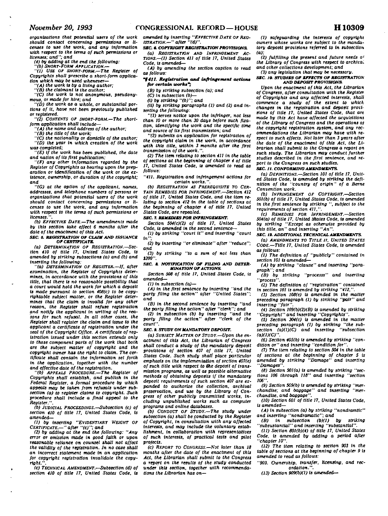*organizations that potential users of the work should contact concerning permissions or li-censes to use the work, and any Information with respect to the terms of such permissions or licenses; and"; and* 

*(4) by adding at the end the following: "(b) SHORT-FORM APPLICATION.— "(1) USE OF SHORT-FORM.—The Register of* 

*Copyrights shall prescribe a short-form application which may be used whenever*—

*"(A) the work is by a living author; "(B) the claimant is the author;* 

*"(C) the work is not anonymous, pseudonymous, or made for hire; and* 

*"(D) the work as a whole, or substantial portions of it, have not been previously published or registered.* 

*"(2) CONTENTS OF SHORT-FORM.—The shortform application shall include*—

*"(A) the name and address of the author;* 

*"(B) the title of the work;* 

*-(C) the nationality or domicile of the author; -(D) the year in which creation of the work was completed;* 

*"(E) if the work has been published, the date and nation of its first publication;* 

*"(F) any other information regarded by the Register of Copyrights as bearing upon the preparation or Identification of the work or the existence, ownership, or duration of the copyright: and* 

*"(G) at the option of the applicant, names, addresses, and telephone numbers of persons or organizations that potential users of the work should contact concerning permissions or licenses to use the work, and any information with respect to the terms of such permissions or licenses.* 

*(b) EFFECTIVE DATE.—The amendments made by this section take effect 6 months after the date of the enactment of this Act.* 

#### *SEC. 5. REGISTRATION OF CLAIM AMD ISSUANCE OF CERTIFICATE.*

*(a) DETERMINATION OF REGISTRATION.—Sec-tion 410 of title 17. United States Code, is amended by striking subsections (a) and (b) and inserting the following:* 

*"(a) DETERMINATION OF REGISTER.—If. after examination, the Register of Copyrights determines,* in *accordance with the provisions of this title, that there is no reasonable possibility that a court would hold the work for which a deposit is made pursuant to section 403(c) to be copyrightable subject matter, or the Register determines that the claim is invalid for any other reason, the Register shall refuse registration and notify the applicant in writing of the reasons for such refusal. In all other cases, the Register shall register the claim and issue to the applicant a certificate of registration under the seal of the Copyright Office. A certificate of registration issued under this section extends only to those component parts of the work that both are the subject matter of copyright and the copyright owner has the right to claim. The cer-tificate shall contain the information set forth tificate shall contain the information set forth* in the application, together with the number and effective date of the registration.

*"(b) APPEALS PROCEDURE.—The Register of Copyrights shall establish, and publish* In *the Federal Register, a formal procedure by which appeals may be taken from refusals under subsection (a) to register claims to copyright. Such procedure shall include a final appeal to the Register.".* 

*(b) JUDICIAL PROCEEDINGS.---Subsection (c) of section 410 of title 17. United States Code. Is amended*—

*(1) by inserting "EVIDENTIARY WEIGHT OF* 

*CERTIFICATE.—" after "(c)"; and (2) by adding at the end the following: "Any error or omission made in good faith or upon reasonable reliance on counsel shall not affect the validity of the registration. In no case shall an incorrect statement made in an application for copyright registration invalidate the copyright.".* 

*(c) TECHNICAL AMENDMENT.—Subsection (d) of section 410 of title 17. United States Code, is* 

*amended by inserting "EFFECTIVE DATE OP REG-ISTRATION.—" after "(d)".* 

*SEC.* «. *COPYRIGHT REGISTRATION PROVISIONS. (a) REGISTRATION AND INFRINGEMENT AC-TIONS.—(1) Section 411 of title 17, United States* 

*Code. Is amended*— *(A) by amending the section caption to read as follows:* 

*"§411. Registration and Infringement action\* for certain work\*";* 

*(B) by striking subsection (a); and* 

*(C) in subsection (b)— (1) by striking "(b)"; and* 

*(it) by striking paragraphs (1) and (2) and inserting the following:* 

*"(1) serves notice upon the infringer, not less than 10 or more than 30 days before such fixation, identifying the work and the specific time and source of its first transmission; and* 

*"(2)* submits an application for registration of *the copyright claim in the work, in accordance with this title, within 3 months after the first transmission of the work.".* 

*(2) The item relating to section 411 in the table of sections at the beginning of chapter 4 of title 17, United States Code, is amended to read as follows:* 

*"411. Registration and infringement actions for certain works.".* 

*(b) REGISTRATION AS PREREQUISITE TO CER-TAIN REMEDIES FOR INFRINGEMENT.—Section 412 of title 17, United States Code, and the item relating to section 412 in the table of sections at the beginning of chapter 4 of title 17, United States Code, are repealed.* 

# *SEC. 7. REMEDIES FOR INFRINGEMENT.*

*Section 504(c)(2) of title 17, United States Code, is amended in the second sentence— (1) by striking "court it" and inserting "court* 

*in"; (2) by inserting "or eliminate" after "reduce";* 

*and (3) by striking "to a sum of not less than S200".* 

SEC. & NOTIFICATION OF FILING AND DETER-*MINATION OF ACTIONS.* 

*Section SOS of title 17. United States Code, is amended*—

*(1) in subsection (a)*—

*(A) in the first sentence by inserting "and the party filing the action" after "United States"; and* 

(B) in the second sentence by inserting "and<br>the party filing the action" after "clerk"; and<br>(2) in subsection (b) by inserting "and the<br>party filing the action" after "clerk of the<br>court".

## *SEC. ». STUDY ON MANDATORY DEPOSIT.*

*(a) SUBJECT MATTER OF STUDY.—Upon the enactment of this Act. the Librarian of Congress shall conduct a study of the mandatory deposit provisions of section 407 of title 17. United States Code. Such study shall place particular emphasis on the implementation of section 407(e) of such title with respect to the deposit of transmission programs, as well as possible alternative methods of obtaining deposits if the mandatory deposit requirements of such section 407 are expanded to authorize the collection, archival preservation, and use by the Library of Congress of other publicly transmitted works, in-cluding unpublished works such as computer programs and online databases.* 

*(b) CONDUCT OF STUDY.—The study under subsection (a) shall be conducted by the Register of Copyright, in consultation with any affected interests, and may Include the voluntary establishment, in collaboration with representatives of such interests, of practical tests and pilot projects.* 

*(c) REPORT TO CONGRESS.—Not later than 18 months after the date of the enactment of this Act, the Librarian shall submit to the Congress*  a *report on the results of the study conducted under this section, together with recommendations the Librarian has on*—

*(1) safeguarding the Interests of copyright owners whose works are subject to the mandatory deposit* provisions *referred to in subsection (a):* 

*(2) fulfilling the present and future needs of the Library of Congress with respect to archiva, and other collections development: and* 

*(3) any legislation that may be necessary.* 

#### *SEC. 10. STUDIES OF EFFECTS OF REGISTRATION AND DEPOSIT PROVISIONS.*

*Upon the enactment of this Act. the Librarian of Congress, after consultation with the Register of Copyrights and any affected interests, shall commence* a *study of the extent to which changes in the registration and deposit provi-sions of title 17. United States Code, that art made by this Act have affected the acquisitions of the Library of Congress and the operations oj the copyright registration system, and any recommendations the Librarian may have with respect to such effects. Not later than 3 years after the date of the enactment of this Act, the Librarian shall submit to the Congress a report on such study. The Librarian may conduct further studies described in the first sentence, and report to the Congress on such studies.* 

#### *SEC. II. CONFORMING AMENDMENTS.*

*(a) DEFINITIONS.—Section 101 of title 17. United States Code, is amended by striking the defi-nition of the "country of origin" of* a Berne Convention *work.* 

*(b) INFRINGEMENT OF COPYRIGHT.—Section 501(b) of title 17. United States Code, is amended in the first sentence by striking ". subject to the requirements of section 411,".* 

*(c) REMEDIES FOR INFRINGEMENT.—Section 504(a) of title 17,* United Slates *Code, Is amended by striking "Except as otherwise provided by this title, an" and inserting "An".* 

*SEC. It. ADDITIONAL TECHNICAL AMENDMENTS,* 

*(a) AMENDMENTS TO TITLE 17. UNITED STATES CODE.—Title 17. United States Code,* is *amended as follows:* 

*(1) The definition of "publicly" contained in section 101 is amended—* 

*(A) by striking "clause" and Inserting "paragraph"; and* 

*(B) by striking "processs" and inserting "process".* 

*(2) The definition of "registration" contained in section 101 is amended by striking "412.".* 

*(3) Section 103(e) is amended* in *the matter preceding paragraph (1) by striking "pair" and inserting "fair".* 

*(4) Section 109(b)(2)(B)* Is amended *by striking "Copyright" and inserting "Copyrights".* 

*(5) Section 304(c) is amended in the matter preceding paragraph (1) by striking "the sub-section (a)(1)(C) and inserting "subsection section (a)(1)(C)* and inserting  $(a)(1)(C)$ .

*(6) Section 405(b) is amended by striking "condition or" and inserting "condition for".* 

*(7) The item relating to section 504 in the table of sections at the beginning of chapter 5 is amended by striking "Damage" and inserting "Damages".* 

*(8) Section 501(a)* is amended *by striking "sections 106 through 118" and inserting "section 106".* 

*(9) Section 509(b) is amended by striking "merchandise; and baggage" and inserting "merchandise, and baggage".* 

*(10) Section 601 of title 17. United Stales Code, is amended*—

*(A)* in *subsection (a) by striking "nondramtic" and inserting "nondramatic"; and* 

*(B) in subsection (b)(1) by striking "subsustantial" and* inserttno *"substantial".* 

*(11) Section 801(b)(4) of title 17. United States Code, is amended by adding a period after "chapter 10".* 

*(12) The item relating to* section *903 in the table of sections at the beginning of chapter 9 is amended to read as follows:* 

*"903. Ownership, transfer, licensing, and recordation.".* 

*(13) Section 909(b)(1) is amended—*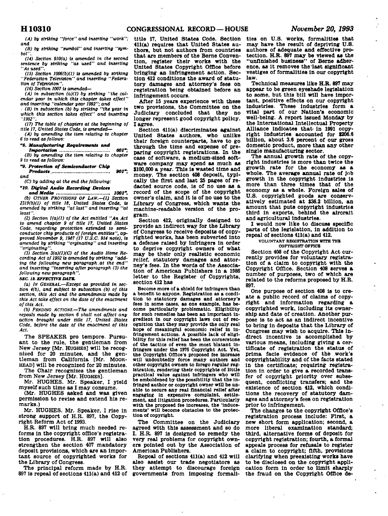# **H1031 0 CONGRESSIONAL RECORD—HOUSE** *November 20, 1993*

*(A) by striking "force" and inserting "work"; and (B) by striking "sumbol" and inserting "sym-*

*bol". (14) Section 910(a) is amended in the second* 

*sentence by striking "as used" and inserting "As used".* 

*(15) Section 1006(b)(1) is amended by strlktng "Federation Television" and Inserting "Federation of Television".* 

*(16) Section 1007 is amended—* 

*(A) In subsection (a)(1) by striking "the calendar year tn which this chapter takes effect"* 

*and Inserting "calendar year 1992"; and - (B) in subsection (b) by striking "the year In which this section takes effect" and Inserting "1992".* 

*(17) The table of chapters at the beginning of title 17. United States Code, Is amended—* 

*(A) by amending the Item relating to chapter 6 to read as follows:* 

*"6. Manufacturing Requirement\* and* 

*Importation 601"; (B) by amending the Item relating to chapter 9 to read as follows:* 

*"9. Protection of Semiconductor Chip Product\* 901";* 

*and* 

*(C) by adding at the end the following:* 

*"10. Digital Audio Recording Device! and Media 1001". (b) OTHER PROVISIONS OF LAW.* -- (1) Section *2319(b)(1) of title 18, United States Code, Is amended by striking "at last"* and *Inserting "at* 

*least". (2) Section 1(a)(1) of the Act entitled "An Act to amend chapter 9 of title 17, United States Code, regarding protection extended to semi-conductor chip products of foreign entitles", approved November 9, 1987 (17 U.S.C. 914 note), Is amended by striking "orglnattng" and Inserting "originating".* 

*(3) Section 3(a)(1)(C) of the Audio Home Recording Act of 1992 ts amended by striking "adding the following new paragraph at the end" and Inserting "Inserting after paragraph (3) the following new paragraph".* 

## **SEC. 13. EFFECTIVE DATE.**

*(a) IN GENERAL.—Except as provided In section 4(b), and subject to subsection (b) of this section, this Act and the amendments made by this Act take effect on the date of the enactment of this Act.* 

*(b) PENDING ACTIONS.—The amendments and repeals made by section 6 shall not affect any action brought under title 17. United States Code, before the date of the enactment of this Act.* 

**The SPEAKER pro tempore. Pursuant to the rule, the gentleman from New Jersey [Mr. HUGHES] will be recognized for 20 minutes, and the gentleman from California [Mr. MOOR-HEAD] will be recognized for 20 minutes.** 

**The Chair recognizes the gentleman from New Jersey [Mr. HUGHES].** 

**Mr. HUGHES. Mr. Speaker, I yield myself such time as I may consume.** 

**(Mr. HUGHES asked and was given permission to revise and extend his remarks.)** 

**Mr. HUGHES. Mr. Speaker, I rise In strong support of H.R. 897, the Copyright Reform Act of 1993.** 

**H.R. 897 will bring much needed reforms In the copyright office's registration procedures. H.R. 897 will also strengthen the section 407 mandatory deposit provisions, which are an important source of copyrighted works for the Library of Congress.** 

**The principal reform made by H.R. 897 is repeal of sections 411(a) and 412 of**  **title 17, United States Code. Section 411(a) requires that United States authors, but not authors from countries that are members of the Berne Convention, register their works with the United States Copyright Office before bringing an Infringement action. Section 412 conditions the award of statutory damages and attorney's fees on registration being obtained before an infringement occurs.** 

**After IS years experience with these two provisions, the Committee on the Judiciary concluded that they no longer represent good copyright policy. I agree.** 

**Section 411(a) discriminates against United States authors, who unlike their foreign counterparts, have to go through the time and expense of preparing copyright registrations. In the case of software, a medium-sized software company may spend as much as \$100,000 a year. This is wasted time and money. The section 408 deposit, typically the first and last 25 pages of redacted source code, is of no use as a record of the scope of the copyright owner's claim, and it is of no use to the Library of Congress, which wants the machine-readable version of the program.** 

**Section 412, originally designed to provide an indirect way for the Library of Congress to receive deposits of copyrighted works, has been subverted Into a defense raised by Infringers in order to deprive copyright owners of what may be their only realistic economic relief, statutory damages and attorney's fees. In the words of the Association of American Publishers In a 1986 letter to the Register of Copyrights, section 412 has** 

**Become more of a shield for infringers than a benefit to anyone. Registration as a condition to statutory damages and attorney's fees in Bome cases, as one example, has become particularly problematic. Eligibility for such remedies has been an Important ingredient In our copyright laws out of recognition that they may provide the only real hope of meaningful economic relief in infringement actions. A possible lack of eligi-bility for this relief has been the cornerstone of the tactics of even the most blatant infringers under the 1976 Copyright Act. Yet, the Copyright Office's proposed fee Increase will undoubtedly force many authors and other copyright owners to forego regular registration, rendering their copyrights of little practical value against infringers who will be emboldened by the possibility that the Infringed author or copyright owner will be unable to secure any real financial relief after engaging in expensive complaint, settlement, and litigation procedures. Particularly**  with the proposed fee increases, the 'induce**ments' will become obstacles to the protection of copyright.** 

**The Committee on the Judiciary agreed with this assessment and so do I. H.R. 897 Is designed to remedy the very real problems for copyright owners pointed out by the Association of American Publishers.** 

**Repeal of sections 411(a) and 412 will also assist our trade negotiators as they attempt to discourage foreign governments from Imposing formali-** **ties on U.S. works, formalities that may have the result of depriving U.S. authors of adequate and effective protection. H.R. 897 may be viewed as the "unfinished business" of Berne adherence, as it removes the last significant vestiges of formalities in our copyright law.** 

**Technical measures like H.R. 897 may appear to be green eyeshade legislation to some, but this bill will have important, positive effects on our copyright industries. These industries form a vital part of our Nation's economic well-being. A report issued Monday by the International Intellectual Property Alliance Indicates that- in 1991 copyright Industries accounted for \$206.6 billion, about 3.6 percent of our gross domestic product, more than any other single manufacturing sector.** 

**The annual growth rate of the copyright Industries Is more than twice the growth rate for the economy as a whole. The average annual rate of job growth in the copyright Industries is more than three times that of the economy as a whole. Foreign sales of U.S. copyrighted goods are conservatively estimated at \$36.2 billion, an amount that puts copyright Industries third In exports, behind the alroraft and agricultural industries.** 

**I would now like to discuss specific parts of the legislation, in addition to repeal of sections 411(a) and 412.** 

### **VOLUNTARY REGISTRATION WITH THB COPYRIOHT OFFICE**

**Section 408 of the Copyright Act currently provides for voluntary registration of a claim to copyright with the Copyright Office. Section 408 serves a number of purposes, two of which are related to the reforms proposed by H.R. 897.** 

**One purpose of section 408 Is to create a public record of claims of copyright and information regarding a copyrighted work, Including Its ownership and date of creation. Another purpose is to act as an Indirect Incentive to bring in deposits that the Library of Congress may wish to acquire. This Indirect Incentive is accomplished by various means, including giving a certificate of registration the status of prima facie evidence of the work's copyrightibility and of the facts stated In the certificate; requiring registration in order to give a recorded transfer of copyright priority over subsequent, conflicting transfers; and the existence of section 412, which conditions the recovery of statutory damages and attorney's fees on registration prior to Infringement.** 

**The changes to the copyright Office's registration process include: First, a new short form application; second, a more liberal examination standard; third, alternative forms of deposit for copyright registration; fourth, a formal appeals process for refusals to register a claim to copyright; fifth, provisions clarifying when preexisting works have to be disclosed on the copyright application form in order to limit sharply the fraud on the Copyright Office de-**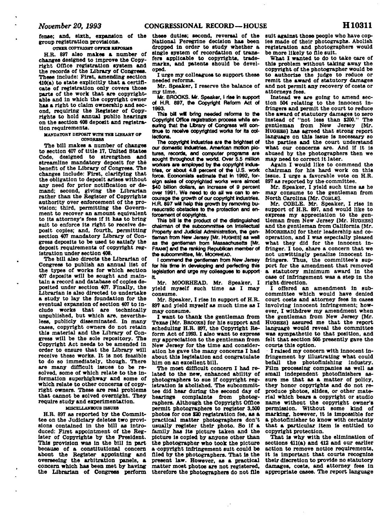**OTHER COPYRIGHT OFFICE REFORMS** 

**H.R. 897 also makes a number of changes designed to Improve the Copyright Office registration system and the records of the Library of Congress. These Include: First, amending section 410(a) to state explicitly that a certificate of registration only covers those parts of the work that are copyrightable and in which the copyright owner has a right to claim ownership and second, requiring the Register of Copyrights to hold annual public hearings on the section 408 deposit and registration requirements.** 

**MANDAT0BT DEPOSIT WITH THE LIBRARY OF OONORBSS** 

**The bill makes a number of changes to section 407 of title 17, United States Code, designed to strengthen and streamline mandatory deposit for the benefit of the Library of Congress. The changes include: First, clarifying that the obligation to deposit arises without any need for prior notification or demand; second, giving the Librarian rather than the Register of Copyrights authority over enforcement of the provision; third, permitting the Government to recover an amount equivalent to its attorney's fees if it has to bring suit to enforce its right to receive deposit copies; and, fourth, permitting section 407 mandatory Library of Congress deposits to be used to satisfy the deposit requirements of copyright registration under section 408.** 

**The bill also directs the Librarian of Congress to publish an annual list of the types of works for which section 407 deposits will be sought and maintain a record and database of copies deposited under section 407. Finally, the Librarian is also directed to undertake Librarian is also directed to undertake** consume.<br>a study to lay the foundation for the **Mr.** Small **eventual expansion of section 407 to include works that are technically unpublished, but which are, nevertheless, publicly disseminated. In many cases, copyright owners do not retain this material and the Library of Congress will be the sole repository. The Copyright Act needs to be amended In order to ensure that the Library will receive these works. It is not feasible to do so Immediately, though. There are many difficult Issues to be resolved, some of which relate to the Information superhighway and some of which relate to other concerns of copyright owners. These are real problems that cannot be solved overnight. They require study and experimentation.** 

## **MISCELLANEOUS ISSUES**

**H.R. 897 as reported by the Committee on the Judiciary deletes two provisions contained in the bill as introduced: First appointment of the Register of Copyrights by the President. This provision was In the bill in part because of a constitutional concern about the Register appointing and overseeing the arbitration panels, a concern which has been met by having the Librarian of Congress perform** 

**these duties; second, reversal of the National Peregrine decision has been dropped in order to study whether a single system of recordation of transfers applicable to copyrights, trademarks, and patents should be developed.** 

**I urge my colleagues to support these needed reforms.** 

**Mr. Speaker, I reserve the balance of my time.** 

**Mr. BROOKS. Mr. Speaker, I rise In support of H.R. 897, the Copyright Reform Act of 1993.** 

This bill will bring needed reforms to the **Copyright Office registration process while en**suring that the Library of Congress will con**tinue to receive copyrighted works for Its collections.** 

**The copyright Industries are the brightest of our domestic Industries. American motion pictures, records, and computer programs are sought throughout the world. Over 5.5 million workers are employed by the copyright industries, or about 4.8 percent of the U.S. work force. Economists estimate that in 1992, foreign sales of copyrighted works were almost \$40 billion dollars, an increase of 9 percent over 1991. We need to do all we can to encourage the growth of our copyright industries. H.R. 897 will help this growth by removing bu**reaucratic obstacles to the protection and en-<br>forcement of copyrights.

This bill is the product of the distinguished chairman of the subcommittee on Intellectual Property and Judicial Administration, the gentieman from New Jersey [Mr. HuGHES] as well as the gentleman from Massachusetts [Mr. **as the gentleman from Massachusetts [Mr. FRANK] and the ranking Republican member of** 

**the subcommittee, Mr. MOORHEAD. I commend the gentleman from New Jersey for his time In developing and perfecting this legislation and urge my colleagues to support** 

**it MCORHEAD.** Mr. Speaker, I<br>
rield myself such time as I may **yield myself such time as I may** 

**consume. Mr. Speaker, I rise in support of H.R. 897 and yield myself as much time as I** 

**may consume. I want to thank the gentleman from Texas [Mr. BROOKS] for his support and scheduling H.R. 897, the Copyright Reform Act of 1993.1 also want to express my appreciation to the gentleman from New Jersey for the time and consideration he gave the many concerns I had about this legislation and congratulate him on an excellent bill.** 

**The most difficult concern I had related to the new, enhanced ability of photographers to sue if copyright registration is abolished. The subcommittee did hear during the second day of hearings complaints from photographers. Although the Copyright Office permit photographers to register 3,500 photos for one \$20 registration fee, as a practical matter photographers don't usually register their photo. So if a family has Its picture taken and the picture is copied by anyone other than the photographer who took the picture a-copyright Infringement suit could be filed by the photographers. That is the present law. However, as a practical matter most photos are not registered, therefore the photographers do not file** 

**suit against those people who have copies made of their photographs. Abolish registration and photographers would be more likely to file suit.** 

**What I wanted to do to take care of this problem without taking away the copyright of the photographer would be to authorize the Judge to reduce or remit the award of statutory damages and not permit any recovery of costs or attorneys fees.** 

**Instead we are going to amend section 504 relating to the innocent infringers and permit the court to reduce the award of statutory damages to zero Instead of "not less than \$200." gentleman from New Jersey [Mr. HUGHES) has agreed that strong report language on this issue is necessary so the parties and the court understand what our concerns are. And if it Is abused by the photographers then we may need to correct it later.** 

**Again I would like to commend the chairman for his hard work on this issue. I urge a favorable vote on H.R. 897 as reported by the committee.** 

**Mr. Speaker, I yield such time as he may consume to the gentleman from** 

**North Carolina [Mr. COBLE]. Mr. COBLE. Mr. Speaker, I rise In support of H.R. 897, and would like to express my appreciation to the gen**and the gentleman from California **[Mr. MOORHEAD]** for their leadership and cooperation, and I was especially pleased what they did for the innocent in**what they did for the innocent infringer. I too, share a concern that we**  not unwittingly penalize innocent in-<br>fringers. Thus, the committee's support for the amendment that removed **port for the amendment that removed a statutory minimum award in the case of infringement was a step in the** 

**right direction. I offered an amendment in subcommittee which would have denied**  involving innocent infringement; how**involving Innocent Infringement; how-ever, I withdrew my amendment when the gentleman from New Jersey [Mr. HUGHES] assured me that the report language would reveal the committee was sympathetic to that position, and felt that section 505 presently gave the courts this option.** 

**I raised my concern with innocent infringement by illustrating what could befall the photoflnlshlng industry. Film processing companies as well as small Independent photoflnlshers assure me that as a matter of policy, they honor copyrights and do not reproduce photos, slides, or other material which bears a copyright or studio name without the copyright owner's permission. Without some kind of marking, however, it is impossible for a photofinlsher to know with certainty that a particular Item 1B entitled to copyright protection.** 

**That Is why with the elimination of sections 411(a) and 412 and our earlier action to remove notice requirements, It is important that courts recognize their discretion to provide no statutory damages, costs, and attorney fees in appropriate cases. The report language**